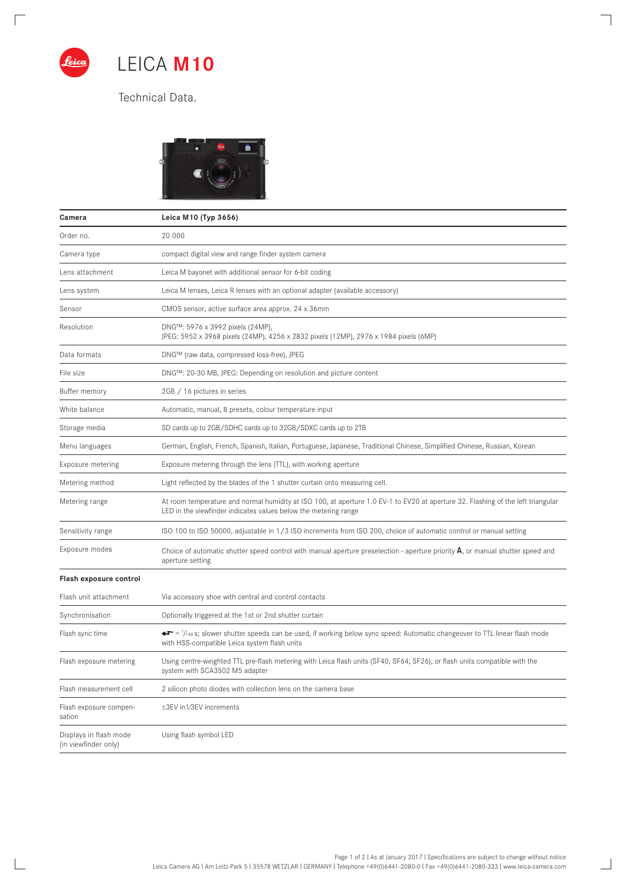

 $\Box$ 

 $\mathbb{R}$ 

LEICA **M10**

Technical Data.



| Camera                                         | Leica M10 (Typ 3656)                                                                                                                                                                                     |
|------------------------------------------------|----------------------------------------------------------------------------------------------------------------------------------------------------------------------------------------------------------|
| Order no.                                      | 20 000                                                                                                                                                                                                   |
| Camera type                                    | compact digital view and range finder system camera                                                                                                                                                      |
| Lens attachment                                | Leica M bayonet with additional sensor for 6-bit coding                                                                                                                                                  |
| Lens system                                    | Leica M lenses, Leica R lenses with an optional adapter (available accessory)                                                                                                                            |
| Sensor                                         | CMOS sensor, active surface area approx. 24 x 36mm                                                                                                                                                       |
| Resolution                                     | DNG™: 5976 x 3992 pixels (24MP),<br>JPEG: 5952 x 3968 pixels (24MP), 4256 x 2832 pixels (12MP), 2976 x 1984 pixels (6MP)                                                                                 |
| Data formats                                   | DNG™ (raw data, compressed loss-free), JPEG                                                                                                                                                              |
| File size                                      | DNG™: 20-30 MB, JPEG: Depending on resolution and picture content                                                                                                                                        |
| Buffer memory                                  | 2GB / 16 pictures in series                                                                                                                                                                              |
| White balance                                  | Automatic, manual, 8 presets, colour temperature input                                                                                                                                                   |
| Storage media                                  | SD cards up to 2GB/SDHC cards up to 32GB/SDXC cards up to 2TB                                                                                                                                            |
| Menu languages                                 | German, English, French, Spanish, Italian, Portuguese, Japanese, Traditional Chinese, Simplified Chinese, Russian, Korean                                                                                |
| Exposure metering                              | Exposure metering through the lens (TTL), with working aperture                                                                                                                                          |
| Metering method                                | Light reflected by the blades of the 1 shutter curtain onto measuring cell.                                                                                                                              |
| Metering range                                 | At room temperature and normal humidity at ISO 100, at aperture 1.0 EV-1 to EV20 at aperture 32. Flashing of the left triangular<br>LED in the viewfinder indicates values below the metering range      |
| Sensitivity range                              | ISO 100 to ISO 50000, adjustable in 1/3 ISO increments from ISO 200, choice of automatic control or manual setting                                                                                       |
| Exposure modes                                 | Choice of automatic shutter speed control with manual aperture preselection - aperture priority $A$ , or manual shutter speed and<br>aperture setting                                                    |
| Flash exposure control                         |                                                                                                                                                                                                          |
| Flash unit attachment                          | Via accessory shoe with central and control contacts                                                                                                                                                     |
| Synchronisation                                | Optionally triggered at the 1st or 2nd shutter curtain                                                                                                                                                   |
| Flash sync time                                | $\blacktriangleright$ = $\frac{1}{180}$ s; slower shutter speeds can be used, if working below sync speed: Automatic changeover to TTL linear flash mode<br>with HSS-compatible Leica system flash units |
| Flash exposure metering                        | Using centre-weighted TTL pre-flash metering with Leica flash units (SF40, SF64, SF26), or flash units compatible with the<br>system with SCA3502 M5 adapter                                             |
| Flash measurement cell                         | 2 silicon photo diodes with collection lens on the camera base                                                                                                                                           |
| Flash exposure compen-<br>sation               | ±3EV in1/3EV increments                                                                                                                                                                                  |
| Displays in flash mode<br>(in viewfinder only) | Using flash symbol LED                                                                                                                                                                                   |

 $\overline{\phantom{a}}$ 

 $\overline{\phantom{0}}$